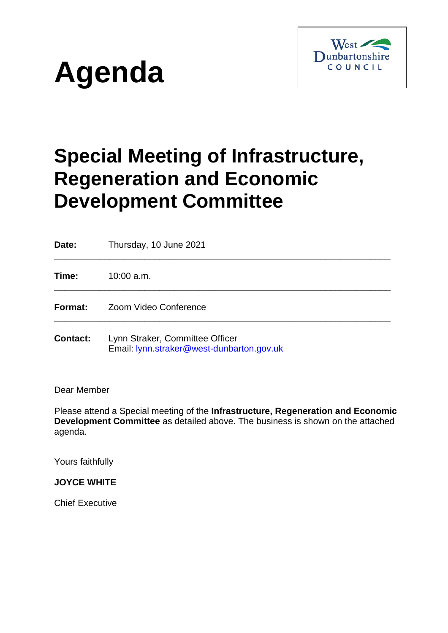



# **Special Meeting of Infrastructure, Regeneration and Economic Development Committee**

**Date:** Thursday, 10 June 2021 **\_\_\_\_\_\_\_\_\_\_\_\_\_\_\_\_\_\_\_\_\_\_\_\_\_\_\_\_\_\_\_\_\_\_\_\_\_\_\_\_\_\_\_\_\_\_\_\_\_\_\_\_\_\_\_\_\_\_\_\_\_\_\_\_\_\_\_ Time:** 10:00 a.m. **\_\_\_\_\_\_\_\_\_\_\_\_\_\_\_\_\_\_\_\_\_\_\_\_\_\_\_\_\_\_\_\_\_\_\_\_\_\_\_\_\_\_\_\_\_\_\_\_\_\_\_\_\_\_\_\_\_\_\_\_\_\_\_\_\_\_\_ Format:** Zoom Video Conference **\_\_\_\_\_\_\_\_\_\_\_\_\_\_\_\_\_\_\_\_\_\_\_\_\_\_\_\_\_\_\_\_\_\_\_\_\_\_\_\_\_\_\_\_\_\_\_\_\_\_\_\_\_\_\_\_\_\_\_\_\_\_\_\_\_\_\_ Contact:** Lynn Straker, Committee Officer

Email: [lynn.straker@west-dunbarton.gov.uk](mailto:lynn.straker@west-dunbarton.gov.uk)

Dear Member

Please attend a Special meeting of the **Infrastructure, Regeneration and Economic Development Committee** as detailed above. The business is shown on the attached agenda.

Yours faithfully

#### **JOYCE WHITE**

Chief Executive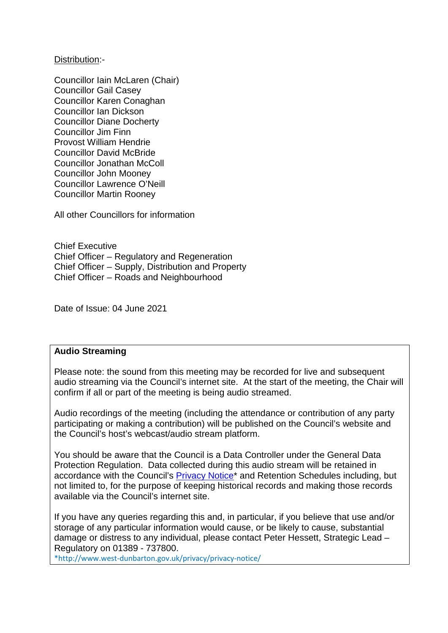Distribution:-

Councillor Iain McLaren (Chair) Councillor Gail Casey Councillor Karen Conaghan Councillor Ian Dickson Councillor Diane Docherty Councillor Jim Finn Provost William Hendrie Councillor David McBride Councillor Jonathan McColl Councillor John Mooney Councillor Lawrence O'Neill Councillor Martin Rooney

All other Councillors for information

Chief Executive Chief Officer – Regulatory and Regeneration Chief Officer – Supply, Distribution and Property Chief Officer – Roads and Neighbourhood

Date of Issue: 04 June 2021

#### **Audio Streaming**

Please note: the sound from this meeting may be recorded for live and subsequent audio streaming via the Council's internet site. At the start of the meeting, the Chair will confirm if all or part of the meeting is being audio streamed.

Audio recordings of the meeting (including the attendance or contribution of any party participating or making a contribution) will be published on the Council's website and the Council's host's webcast/audio stream platform.

You should be aware that the Council is a Data Controller under the General Data Protection Regulation. Data collected during this audio stream will be retained in accordance with the Council's **Privacy Notice**<sup>\*</sup> and Retention Schedules including, but not limited to, for the purpose of keeping historical records and making those records available via the Council's internet site.

If you have any queries regarding this and, in particular, if you believe that use and/or storage of any particular information would cause, or be likely to cause, substantial damage or distress to any individual, please contact Peter Hessett, Strategic Lead – Regulatory on 01389 - 737800.

\*http://www.west-dunbarton.gov.uk/privacy/privacy-notice/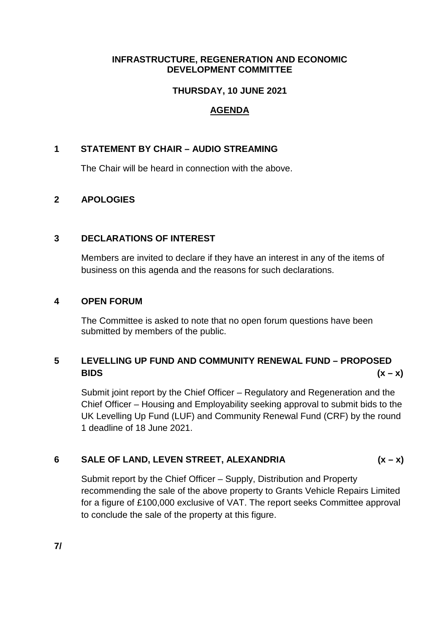#### **INFRASTRUCTURE, REGENERATION AND ECONOMIC DEVELOPMENT COMMITTEE**

## **THURSDAY, 10 JUNE 2021**

## **AGENDA**

## **1 STATEMENT BY CHAIR – AUDIO STREAMING**

The Chair will be heard in connection with the above.

## **2 APOLOGIES**

#### **3 DECLARATIONS OF INTEREST**

Members are invited to declare if they have an interest in any of the items of business on this agenda and the reasons for such declarations.

#### **4 OPEN FORUM**

The Committee is asked to note that no open forum questions have been submitted by members of the public.

# **5 LEVELLING UP FUND AND COMMUNITY RENEWAL FUND – PROPOSED BIDS (x – x)**

Submit joint report by the Chief Officer – Regulatory and Regeneration and the Chief Officer – Housing and Employability seeking approval to submit bids to the UK Levelling Up Fund (LUF) and Community Renewal Fund (CRF) by the round 1 deadline of 18 June 2021.

## **6 SALE OF LAND, LEVEN STREET, ALEXANDRIA (x – x)**

Submit report by the Chief Officer – Supply, Distribution and Property recommending the sale of the above property to Grants Vehicle Repairs Limited for a figure of £100,000 exclusive of VAT. The report seeks Committee approval to conclude the sale of the property at this figure.